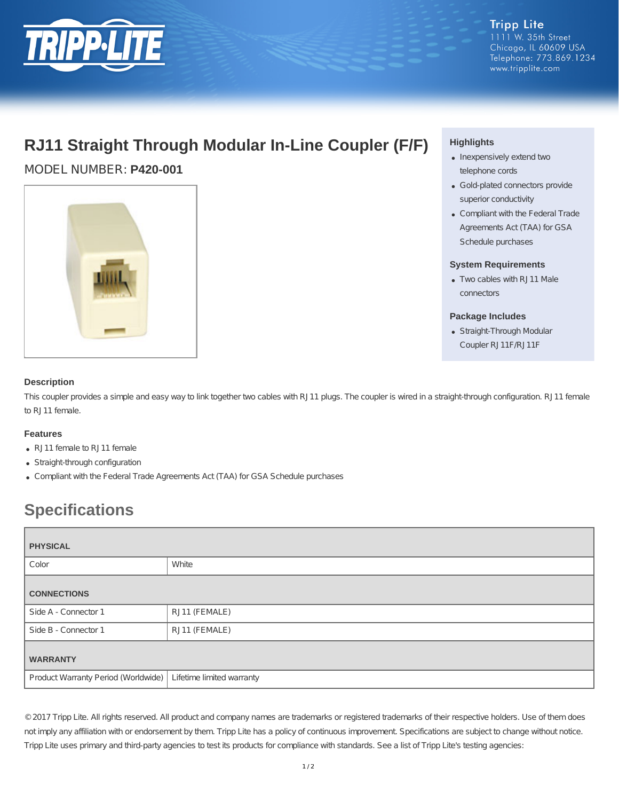

**Tripp Lite** 1111 W. 35th Street Chicago, IL 60609 USA Telephone: 773.869.1234 www.tripplite.com

## **RJ11 Straight Through Modular In-Line Coupler (F/F)**

MODEL NUMBER: **P420-001**



## **Highlights**

- Inexpensively extend two telephone cords
- Gold-plated connectors provide superior conductivity
- Compliant with the Federal Trade Agreements Act (TAA) for GSA Schedule purchases

#### **System Requirements**

Two cables with RJ11 Male connectors

#### **Package Includes**

Straight-Through Modular Coupler RJ11F/RJ11F

### **Description**

This coupler provides a simple and easy way to link together two cables with RJ11 plugs. The coupler is wired in a straight-through configuration. RJ11 female to RJ11 female.

#### **Features**

- RJ11 female to RJ11 female
- Straight-through configuration
- Compliant with the Federal Trade Agreements Act (TAA) for GSA Schedule purchases

# **Specifications**

| <b>PHYSICAL</b>                     |                           |
|-------------------------------------|---------------------------|
| Color                               | White                     |
| <b>CONNECTIONS</b>                  |                           |
| Side A - Connector 1                | RJ11 (FEMALE)             |
| Side B - Connector 1                | RJ11 (FEMALE)             |
| <b>WARRANTY</b>                     |                           |
| Product Warranty Period (Worldwide) | Lifetime limited warranty |

© 2017 Tripp Lite. All rights reserved. All product and company names are trademarks or registered trademarks of their respective holders. Use of them does not imply any affiliation with or endorsement by them. Tripp Lite has a policy of continuous improvement. Specifications are subject to change without notice. Tripp Lite uses primary and third-party agencies to test its products for compliance with standards. See a list of Tripp Lite's testing agencies: